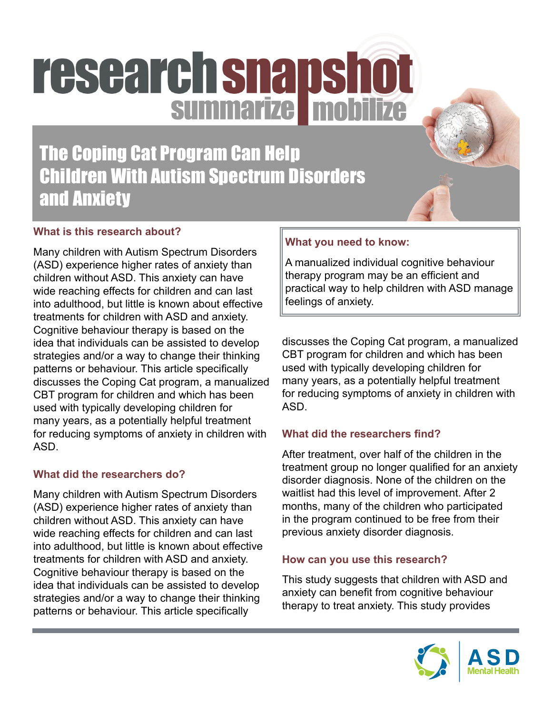# research snapshot

### The Coping Cat Program Can Help Children With Autism Spectrum Disorders and Anxiety

### **What is this research about?**

Many children with Autism Spectrum Disorders (ASD) experience higher rates of anxiety than children without ASD. This anxiety can have wide reaching effects for children and can last into adulthood, but little is known about effective treatments for children with ASD and anxiety. Cognitive behaviour therapy is based on the idea that individuals can be assisted to develop strategies and/or a way to change their thinking patterns or behaviour. This article specifically discusses the Coping Cat program, a manualized CBT program for children and which has been used with typically developing children for many years, as a potentially helpful treatment for reducing symptoms of anxiety in children with ASD.

### **What did the researchers do?**

Many children with Autism Spectrum Disorders (ASD) experience higher rates of anxiety than children without ASD. This anxiety can have wide reaching effects for children and can last into adulthood, but little is known about effective treatments for children with ASD and anxiety. Cognitive behaviour therapy is based on the idea that individuals can be assisted to develop strategies and/or a way to change their thinking patterns or behaviour. This article specifically

### **What you need to know:**

A manualized individual cognitive behaviour therapy program may be an efficient and practical way to help children with ASD manage feelings of anxiety.

discusses the Coping Cat program, a manualized CBT program for children and which has been used with typically developing children for many years, as a potentially helpful treatment for reducing symptoms of anxiety in children with ASD.

### **What did the researchers find?**

After treatment, over half of the children in the treatment group no longer qualified for an anxiety disorder diagnosis. None of the children on the waitlist had this level of improvement. After 2 months, many of the children who participated in the program continued to be free from their previous anxiety disorder diagnosis.

### **How can you use this research?**

This study suggests that children with ASD and anxiety can benefit from cognitive behaviour therapy to treat anxiety. This study provides